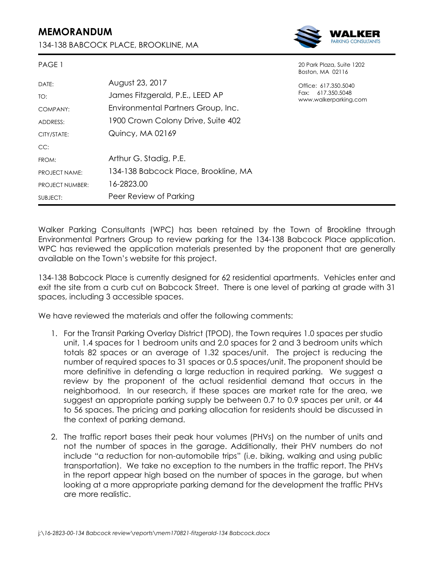## **MEMORANDUM**

PAGE 1

134-138 BABCOCK PLACE, BROOKLINE, MA



20 Park Plaza, Suite 1202

|                        |                                      | Boston, MA 02116                                                   |
|------------------------|--------------------------------------|--------------------------------------------------------------------|
| DATE:                  | August 23, 2017                      | Office: 617.350.5040<br>Fax: 617.350.5048<br>www.walkerparking.com |
| TO:                    | James Fitzgerald, P.E., LEED AP      |                                                                    |
| COMPANY:               | Environmental Partners Group, Inc.   |                                                                    |
| ADDRESS:               | 1900 Crown Colony Drive, Suite 402   |                                                                    |
| CITY/STATE:            | Quincy, MA 02169                     |                                                                    |
| CC:                    |                                      |                                                                    |
| FROM:                  | Arthur G. Stadig, P.E.               |                                                                    |
| PROJECT NAME:          | 134-138 Babcock Place, Brookline, MA |                                                                    |
| <b>PROJECT NUMBER:</b> | 16-2823.00                           |                                                                    |
| SUBJECT:               | Peer Review of Parking               |                                                                    |

Walker Parking Consultants (WPC) has been retained by the Town of Brookline through Environmental Partners Group to review parking for the 134-138 Babcock Place application. WPC has reviewed the application materials presented by the proponent that are generally available on the Town's website for this project.

134-138 Babcock Place is currently designed for 62 residential apartments. Vehicles enter and exit the site from a curb cut on Babcock Street. There is one level of parking at grade with 31 spaces, including 3 accessible spaces.

We have reviewed the materials and offer the following comments:

- 1. For the Transit Parking Overlay District (TPOD), the Town requires 1.0 spaces per studio unit, 1.4 spaces for 1 bedroom units and 2.0 spaces for 2 and 3 bedroom units which totals 82 spaces or an average of 1.32 spaces/unit. The project is reducing the number of required spaces to 31 spaces or 0.5 spaces/unit. The proponent should be more definitive in defending a large reduction in required parking. We suggest a review by the proponent of the actual residential demand that occurs in the neighborhood. In our research, if these spaces are market rate for the area, we suggest an appropriate parking supply be between 0.7 to 0.9 spaces per unit, or 44 to 56 spaces. The pricing and parking allocation for residents should be discussed in the context of parking demand.
- 2. The traffic report bases their peak hour volumes (PHVs) on the number of units and not the number of spaces in the garage. Additionally, their PHV numbers do not include "a reduction for non-automobile trips" (i.e. biking, walking and using public transportation). We take no exception to the numbers in the traffic report. The PHVs in the report appear high based on the number of spaces in the garage, but when looking at a more appropriate parking demand for the development the traffic PHVs are more realistic.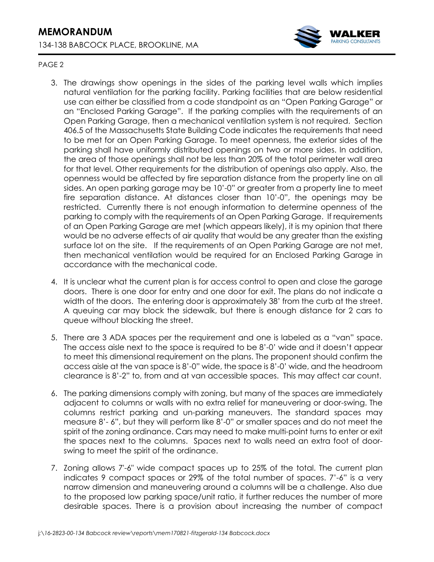

## PAGE 2

- 3. The drawings show openings in the sides of the parking level walls which implies natural ventilation for the parking facility. Parking facilities that are below residential use can either be classified from a code standpoint as an "Open Parking Garage" or an "Enclosed Parking Garage". If the parking complies with the requirements of an Open Parking Garage, then a mechanical ventilation system is not required. Section 406.5 of the Massachusetts State Building Code indicates the requirements that need to be met for an Open Parking Garage. To meet openness, the exterior sides of the parking shall have uniformly distributed openings on two or more sides. In addition, the area of those openings shall not be less than 20% of the total perimeter wall area for that level. Other requirements for the distribution of openings also apply. Also, the openness would be affected by fire separation distance from the property line on all sides. An open parking garage may be 10'-0" or greater from a property line to meet fire separation distance. At distances closer than 10'-0", the openings may be restricted. Currently there is not enough information to determine openness of the parking to comply with the requirements of an Open Parking Garage. If requirements of an Open Parking Garage are met (which appears likely), it is my opinion that there would be no adverse effects of air quality that would be any greater than the existing surface lot on the site. If the requirements of an Open Parking Garage are not met, then mechanical ventilation would be required for an Enclosed Parking Garage in accordance with the mechanical code.
- 4. It is unclear what the current plan is for access control to open and close the garage doors. There is one door for entry and one door for exit. The plans do not indicate a width of the doors. The entering door is approximately 38' from the curb at the street. A queuing car may block the sidewalk, but there is enough distance for 2 cars to queue without blocking the street.
- 5. There are 3 ADA spaces per the requirement and one is labeled as a "van" space. The access aisle next to the space is required to be 8'-0' wide and it doesn't appear to meet this dimensional requirement on the plans. The proponent should confirm the access aisle at the van space is 8'-0" wide, the space is 8'-0' wide, and the headroom clearance is 8'-2" to, from and at van accessible spaces. This may affect car count.
- 6. The parking dimensions comply with zoning, but many of the spaces are immediately adjacent to columns or walls with no extra relief for maneuvering or door-swing. The columns restrict parking and un-parking maneuvers. The standard spaces may measure 8'- 6", but they will perform like 8'-0" or smaller spaces and do not meet the spirit of the zoning ordinance. Cars may need to make multi-point turns to enter or exit the spaces next to the columns. Spaces next to walls need an extra foot of doorswing to meet the spirit of the ordinance.
- 7. Zoning allows 7'-6" wide compact spaces up to 25% of the total. The current plan indicates 9 compact spaces or 29% of the total number of spaces. 7'-6" is a very narrow dimension and maneuvering around a columns will be a challenge. Also due to the proposed low parking space/unit ratio, it further reduces the number of more desirable spaces. There is a provision about increasing the number of compact